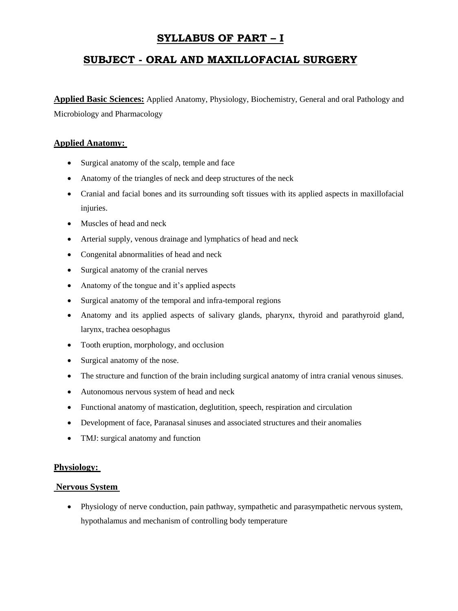# **SYLLABUS OF PART – I**

# **SUBJECT - ORAL AND MAXILLOFACIAL SURGERY**

**Applied Basic Sciences:** Applied Anatomy, Physiology, Biochemistry, General and oral Pathology and Microbiology and Pharmacology

## **Applied Anatomy:**

- Surgical anatomy of the scalp, temple and face
- Anatomy of the triangles of neck and deep structures of the neck
- Cranial and facial bones and its surrounding soft tissues with its applied aspects in maxillofacial injuries.
- Muscles of head and neck
- Arterial supply, venous drainage and lymphatics of head and neck
- Congenital abnormalities of head and neck
- Surgical anatomy of the cranial nerves
- Anatomy of the tongue and it's applied aspects
- Surgical anatomy of the temporal and infra-temporal regions
- Anatomy and its applied aspects of salivary glands, pharynx, thyroid and parathyroid gland, larynx, trachea oesophagus
- Tooth eruption, morphology, and occlusion
- Surgical anatomy of the nose.
- The structure and function of the brain including surgical anatomy of intra cranial venous sinuses.
- Autonomous nervous system of head and neck
- Functional anatomy of mastication, deglutition, speech, respiration and circulation
- Development of face, Paranasal sinuses and associated structures and their anomalies
- TMJ: surgical anatomy and function

## **Physiology:**

## **Nervous System**

 Physiology of nerve conduction, pain pathway, sympathetic and parasympathetic nervous system, hypothalamus and mechanism of controlling body temperature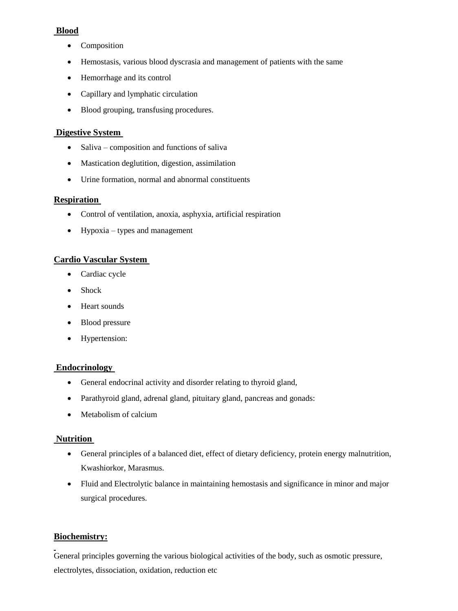# **Blood**

- Composition
- Hemostasis, various blood dyscrasia and management of patients with the same
- Hemorrhage and its control
- Capillary and lymphatic circulation
- Blood grouping, transfusing procedures.

## **Digestive System**

- $\bullet$  Saliva composition and functions of saliva
- Mastication deglutition, digestion, assimilation
- Urine formation, normal and abnormal constituents

## **Respiration**

- Control of ventilation, anoxia, asphyxia, artificial respiration
- $\bullet$  Hypoxia types and management

## **Cardio Vascular System**

- Cardiac cycle
- Shock
- Heart sounds
- Blood pressure
- Hypertension:

## **Endocrinology**

- General endocrinal activity and disorder relating to thyroid gland,
- Parathyroid gland, adrenal gland, pituitary gland, pancreas and gonads:
- Metabolism of calcium

# **Nutrition**

- General principles of a balanced diet, effect of dietary deficiency, protein energy malnutrition, Kwashiorkor, Marasmus.
- Fluid and Electrolytic balance in maintaining hemostasis and significance in minor and major surgical procedures.

# **Biochemistry:**

General principles governing the various biological activities of the body, such as osmotic pressure, electrolytes, dissociation, oxidation, reduction etc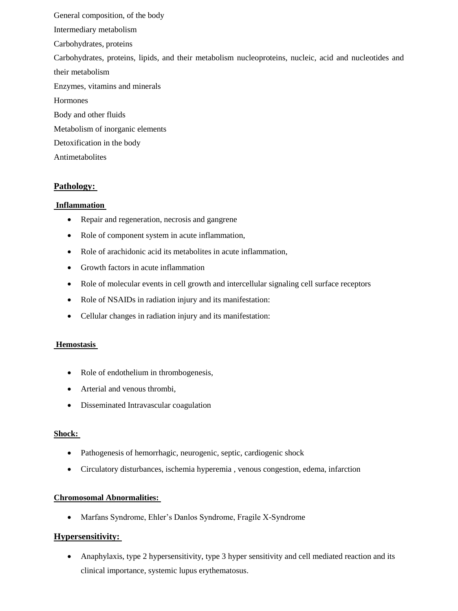General composition, of the body Intermediary metabolism Carbohydrates, proteins Carbohydrates, proteins, lipids, and their metabolism nucleoproteins, nucleic, acid and nucleotides and their metabolism Enzymes, vitamins and minerals Hormones Body and other fluids Metabolism of inorganic elements Detoxification in the body Antimetabolites

# **Pathology:**

## **Inflammation**

- Repair and regeneration, necrosis and gangrene
- Role of component system in acute inflammation,
- Role of arachidonic acid its metabolites in acute inflammation,
- Growth factors in acute inflammation
- Role of molecular events in cell growth and intercellular signaling cell surface receptors
- Role of NSAIDs in radiation injury and its manifestation:
- Cellular changes in radiation injury and its manifestation:

## **Hemostasis**

- Role of endothelium in thrombogenesis,
- Arterial and venous thrombi,
- Disseminated Intravascular coagulation

## **Shock:**

- Pathogenesis of hemorrhagic, neurogenic, septic, cardiogenic shock
- Circulatory disturbances, ischemia hyperemia , venous congestion, edema, infarction

## **Chromosomal Abnormalities:**

Marfans Syndrome, Ehler's Danlos Syndrome, Fragile X-Syndrome

# **Hypersensitivity:**

 Anaphylaxis, type 2 hypersensitivity, type 3 hyper sensitivity and cell mediated reaction and its clinical importance, systemic lupus erythematosus.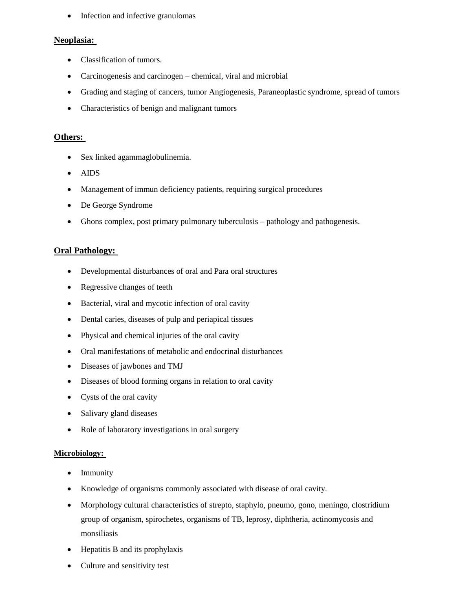• Infection and infective granulomas

## **Neoplasia:**

- Classification of tumors.
- Carcinogenesis and carcinogen chemical, viral and microbial
- Grading and staging of cancers, tumor Angiogenesis, Paraneoplastic syndrome, spread of tumors
- Characteristics of benign and malignant tumors

## **Others:**

- Sex linked agammaglobulinemia.
- AIDS
- Management of immun deficiency patients, requiring surgical procedures
- De George Syndrome
- Ghons complex, post primary pulmonary tuberculosis pathology and pathogenesis.

## **Oral Pathology:**

- Developmental disturbances of oral and Para oral structures
- Regressive changes of teeth
- Bacterial, viral and mycotic infection of oral cavity
- Dental caries, diseases of pulp and periapical tissues
- Physical and chemical injuries of the oral cavity
- Oral manifestations of metabolic and endocrinal disturbances
- Diseases of jawbones and TMJ
- Diseases of blood forming organs in relation to oral cavity
- Cysts of the oral cavity
- Salivary gland diseases
- Role of laboratory investigations in oral surgery

## **Microbiology:**

- Immunity
- Knowledge of organisms commonly associated with disease of oral cavity.
- Morphology cultural characteristics of strepto, staphylo, pneumo, gono, meningo, clostridium group of organism, spirochetes, organisms of TB, leprosy, diphtheria, actinomycosis and monsiliasis
- Hepatitis B and its prophylaxis
- Culture and sensitivity test